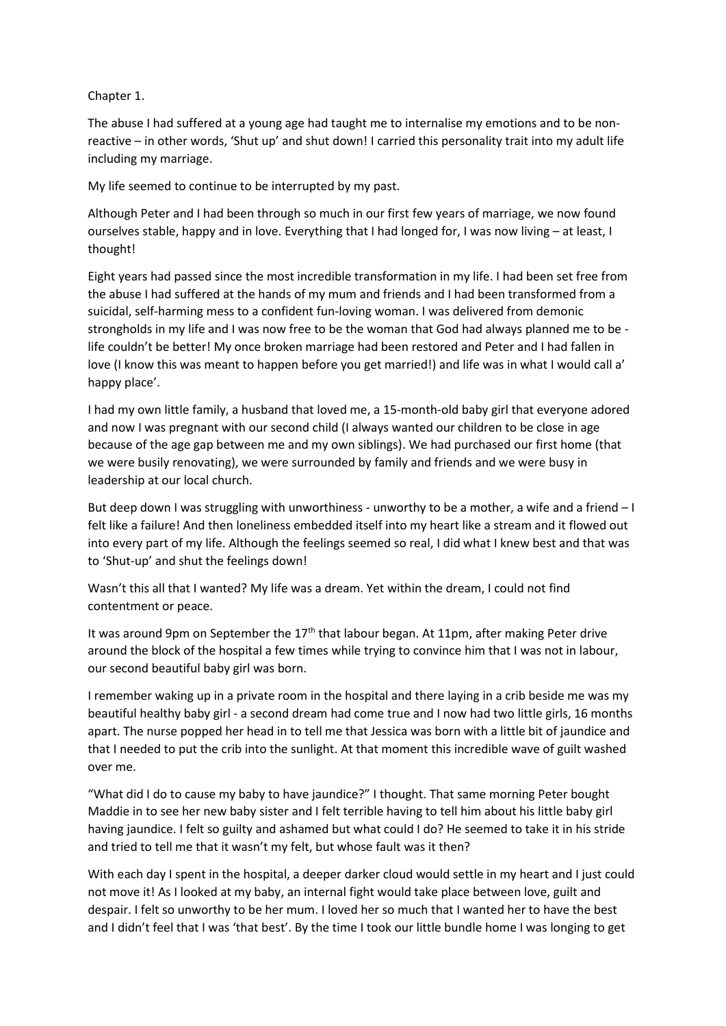## Chapter 1.

The abuse I had suffered at a young age had taught me to internalise my emotions and to be nonreactive – in other words, 'Shut up' and shut down! I carried this personality trait into my adult life including my marriage.

My life seemed to continue to be interrupted by my past.

Although Peter and I had been through so much in our first few years of marriage, we now found ourselves stable, happy and in love. Everything that I had longed for, I was now living – at least, I thought!

Eight years had passed since the most incredible transformation in my life. I had been set free from the abuse I had suffered at the hands of my mum and friends and I had been transformed from a suicidal, self-harming mess to a confident fun-loving woman. I was delivered from demonic strongholds in my life and I was now free to be the woman that God had always planned me to be life couldn't be better! My once broken marriage had been restored and Peter and I had fallen in love (I know this was meant to happen before you get married!) and life was in what I would call a' happy place'.

I had my own little family, a husband that loved me, a 15-month-old baby girl that everyone adored and now I was pregnant with our second child (I always wanted our children to be close in age because of the age gap between me and my own siblings). We had purchased our first home (that we were busily renovating), we were surrounded by family and friends and we were busy in leadership at our local church.

But deep down I was struggling with unworthiness - unworthy to be a mother, a wife and a friend – I felt like a failure! And then loneliness embedded itself into my heart like a stream and it flowed out into every part of my life. Although the feelings seemed so real, I did what I knew best and that was to 'Shut-up' and shut the feelings down!

Wasn't this all that I wanted? My life was a dream. Yet within the dream, I could not find contentment or peace.

It was around 9pm on September the  $17<sup>th</sup>$  that labour began. At 11pm, after making Peter drive around the block of the hospital a few times while trying to convince him that I was not in labour, our second beautiful baby girl was born.

I remember waking up in a private room in the hospital and there laying in a crib beside me was my beautiful healthy baby girl - a second dream had come true and I now had two little girls, 16 months apart. The nurse popped her head in to tell me that Jessica was born with a little bit of jaundice and that I needed to put the crib into the sunlight. At that moment this incredible wave of guilt washed over me.

"What did I do to cause my baby to have jaundice?" I thought. That same morning Peter bought Maddie in to see her new baby sister and I felt terrible having to tell him about his little baby girl having jaundice. I felt so guilty and ashamed but what could I do? He seemed to take it in his stride and tried to tell me that it wasn't my felt, but whose fault was it then?

With each day I spent in the hospital, a deeper darker cloud would settle in my heart and I just could not move it! As I looked at my baby, an internal fight would take place between love, guilt and despair. I felt so unworthy to be her mum. I loved her so much that I wanted her to have the best and I didn't feel that I was 'that best'. By the time I took our little bundle home I was longing to get